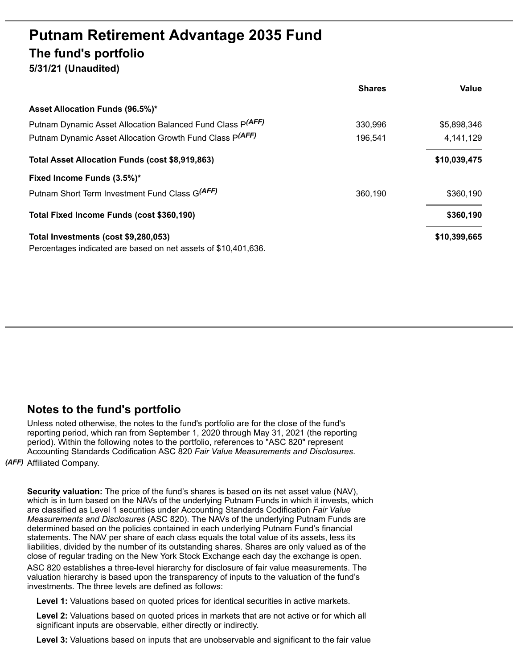# **Putnam Retirement Advantage 2035 Fund The fund's portfolio**

**5/31/21 (Unaudited)**

|                                                                | <b>Shares</b> | Value        |
|----------------------------------------------------------------|---------------|--------------|
| Asset Allocation Funds (96.5%)*                                |               |              |
| Putnam Dynamic Asset Allocation Balanced Fund Class P(AFF)     | 330,996       | \$5,898,346  |
| Putnam Dynamic Asset Allocation Growth Fund Class P(AFF)       | 196,541       | 4,141,129    |
| Total Asset Allocation Funds (cost \$8,919,863)                |               | \$10,039,475 |
| Fixed Income Funds (3.5%)*                                     |               |              |
| Putnam Short Term Investment Fund Class G(AFF)                 | 360.190       | \$360,190    |
| Total Fixed Income Funds (cost \$360,190)                      |               | \$360,190    |
| Total Investments (cost \$9,280,053)                           |               | \$10,399,665 |
| Percentages indicated are based on net assets of \$10,401,636. |               |              |

# **Notes to the fund's portfolio**

Unless noted otherwise, the notes to the fund's portfolio are for the close of the fund's reporting period, which ran from September 1, 2020 through May 31, 2021 (the reporting period). Within the following notes to the portfolio, references to "ASC 820" represent Accounting Standards Codification ASC 820 *Fair Value Measurements and Disclosures*.

*(AFF)* Affiliated Company.

**Security valuation:** The price of the fund's shares is based on its net asset value (NAV), which is in turn based on the NAVs of the underlying Putnam Funds in which it invests, which are classified as Level 1 securities under Accounting Standards Codification *Fair Value Measurements and Disclosures* (ASC 820). The NAVs of the underlying Putnam Funds are determined based on the policies contained in each underlying Putnam Fund's financial statements. The NAV per share of each class equals the total value of its assets, less its liabilities, divided by the number of its outstanding shares. Shares are only valued as of the close of regular trading on the New York Stock Exchange each day the exchange is open. ASC 820 establishes a three-level hierarchy for disclosure of fair value measurements. The valuation hierarchy is based upon the transparency of inputs to the valuation of the fund's investments. The three levels are defined as follows:

**Level 1:** Valuations based on quoted prices for identical securities in active markets.

**Level 2:** Valuations based on quoted prices in markets that are not active or for which all significant inputs are observable, either directly or indirectly.

**Level 3:** Valuations based on inputs that are unobservable and significant to the fair value